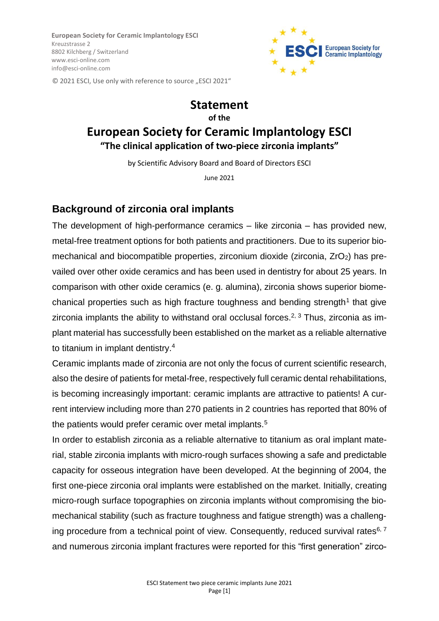**European Society for Ceramic Implantology ESCI** Kreuzstrasse 2 8802 Kilchberg / Switzerland [www.esci-online.com](http://www.esci-online.com/)  info@esci-online.com



© 2021 ESCI, Use only with reference to source "ESCI 2021"

# **Statement of the European Society for Ceramic Implantology ESCI "The clinical application of two-piece zirconia implants"**

by Scientific Advisory Board and Board of Directors ESCI

June 2021

## **Background of zirconia oral implants**

The development of high-performance ceramics – like zirconia – has provided new, metal-free treatment options for both patients and practitioners. Due to its superior biomechanical and biocompatible properties, zirconium dioxide (zirconia,  $ZrO<sub>2</sub>$ ) has prevailed over other oxide ceramics and has been used in dentistry for about 25 years. In comparison with other oxide ceramics (e. g. alumina), zirconia shows superior biomechanical properties such as high fracture toughness and bending strength<sup>1</sup> that give zirconia implants the ability to withstand oral occlusal forces.<sup>2, 3</sup> Thus, zirconia as implant material has successfully been established on the market as a reliable alternative to titanium in implant dentistry.<sup>4</sup>

Ceramic implants made of zirconia are not only the focus of current scientific research, also the desire of patients for metal-free, respectively full ceramic dental rehabilitations, is becoming increasingly important: ceramic implants are attractive to patients! A current interview including more than 270 patients in 2 countries has reported that 80% of the patients would prefer ceramic over metal implants.<sup>5</sup>

In order to establish zirconia as a reliable alternative to titanium as oral implant material, stable zirconia implants with micro-rough surfaces showing a safe and predictable capacity for osseous integration have been developed. At the beginning of 2004, the first one-piece zirconia oral implants were established on the market. Initially, creating micro-rough surface topographies on zirconia implants without compromising the biomechanical stability (such as fracture toughness and fatigue strength) was a challenging procedure from a technical point of view. Consequently, reduced survival rates $6, 7$ and numerous zirconia implant fractures were reported for this "first generation" zirco-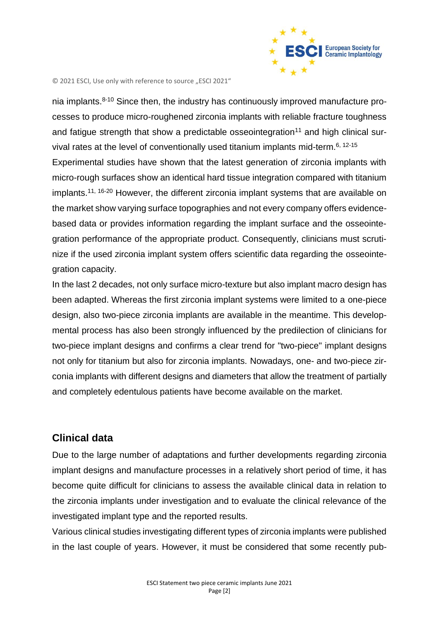

nia implants. $8-10$  Since then, the industry has continuously improved manufacture processes to produce micro-roughened zirconia implants with reliable fracture toughness and fatigue strength that show a predictable osseointegration<sup>11</sup> and high clinical survival rates at the level of conventionally used titanium implants mid-term.<sup>6, 12-15</sup> Experimental studies have shown that the latest generation of zirconia implants with micro-rough surfaces show an identical hard tissue integration compared with titanium implants.<sup>11, 16-20</sup> However, the different zirconia implant systems that are available on the market show varying surface topographies and not every company offers evidencebased data or provides information regarding the implant surface and the osseointegration performance of the appropriate product. Consequently, clinicians must scrutinize if the used zirconia implant system offers scientific data regarding the osseointegration capacity.

In the last 2 decades, not only surface micro-texture but also implant macro design has been adapted. Whereas the first zirconia implant systems were limited to a one-piece design, also two-piece zirconia implants are available in the meantime. This developmental process has also been strongly influenced by the predilection of clinicians for two-piece implant designs and confirms a clear trend for "two-piece" implant designs not only for titanium but also for zirconia implants. Nowadays, one- and two-piece zirconia implants with different designs and diameters that allow the treatment of partially and completely edentulous patients have become available on the market.

### **Clinical data**

Due to the large number of adaptations and further developments regarding zirconia implant designs and manufacture processes in a relatively short period of time, it has become quite difficult for clinicians to assess the available clinical data in relation to the zirconia implants under investigation and to evaluate the clinical relevance of the investigated implant type and the reported results.

Various clinical studies investigating different types of zirconia implants were published in the last couple of years. However, it must be considered that some recently pub-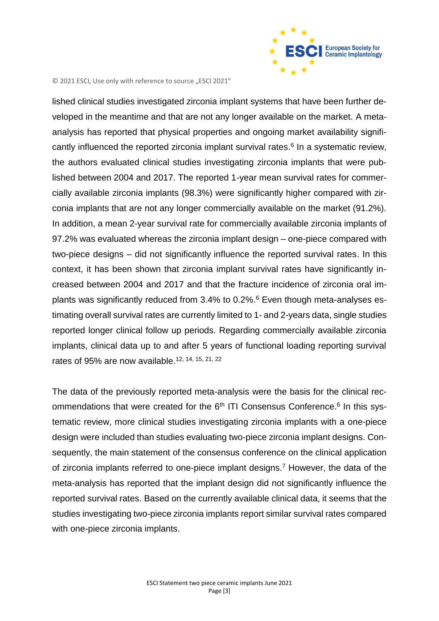

lished clinical studies investigated zirconia implant systems that have been further developed in the meantime and that are not any longer available on the market. A metaanalysis has reported that physical properties and ongoing market availability significantly influenced the reported zirconia implant survival rates. 6 In a systematic review, the authors evaluated clinical studies investigating zirconia implants that were published between 2004 and 2017. The reported 1-year mean survival rates for commercially available zirconia implants (98.3%) were significantly higher compared with zirconia implants that are not any longer commercially available on the market (91.2%). In addition, a mean 2-year survival rate for commercially available zirconia implants of 97.2% was evaluated whereas the zirconia implant design – one-piece compared with two-piece designs – did not significantly influence the reported survival rates. In this context, it has been shown that zirconia implant survival rates have significantly increased between 2004 and 2017 and that the fracture incidence of zirconia oral implants was significantly reduced from 3.4% to 0.2%. <sup>6</sup> Even though meta-analyses estimating overall survival rates are currently limited to 1- and 2-years data, single studies reported longer clinical follow up periods. Regarding commercially available zirconia implants, clinical data up to and after 5 years of functional loading reporting survival rates of 95% are now available.<sup>12, 14, 15, 21, 22</sup>

The data of the previously reported meta-analysis were the basis for the clinical recommendations that were created for the 6<sup>th</sup> ITI Consensus Conference.<sup>6</sup> In this systematic review, more clinical studies investigating zirconia implants with a one-piece design were included than studies evaluating two-piece zirconia implant designs. Consequently, the main statement of the consensus conference on the clinical application of zirconia implants referred to one-piece implant designs.<sup>7</sup> However, the data of the meta-analysis has reported that the implant design did not significantly influence the reported survival rates. Based on the currently available clinical data, it seems that the studies investigating two-piece zirconia implants report similar survival rates compared with one-piece zirconia implants.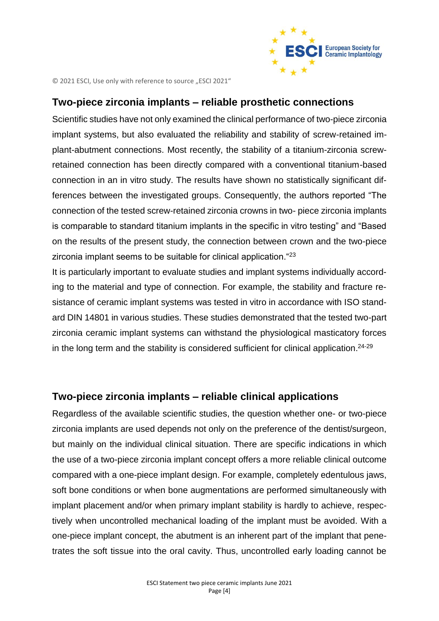

#### **Two-piece zirconia implants – reliable prosthetic connections**

Scientific studies have not only examined the clinical performance of two-piece zirconia implant systems, but also evaluated the reliability and stability of screw-retained implant-abutment connections. Most recently, the stability of a titanium-zirconia screwretained connection has been directly compared with a conventional titanium-based connection in an in vitro study. The results have shown no statistically significant differences between the investigated groups. Consequently, the authors reported "The connection of the tested screw-retained zirconia crowns in two- piece zirconia implants is comparable to standard titanium implants in the specific in vitro testing" and "Based on the results of the present study, the connection between crown and the two-piece zirconia implant seems to be suitable for clinical application. "23

It is particularly important to evaluate studies and implant systems individually according to the material and type of connection. For example, the stability and fracture resistance of ceramic implant systems was tested in vitro in accordance with ISO standard DIN 14801 in various studies. These studies demonstrated that the tested two-part zirconia ceramic implant systems can withstand the physiological masticatory forces in the long term and the stability is considered sufficient for clinical application.<sup>24-29</sup>

#### **Two-piece zirconia implants – reliable clinical applications**

Regardless of the available scientific studies, the question whether one- or two-piece zirconia implants are used depends not only on the preference of the dentist/surgeon, but mainly on the individual clinical situation. There are specific indications in which the use of a two-piece zirconia implant concept offers a more reliable clinical outcome compared with a one-piece implant design. For example, completely edentulous jaws, soft bone conditions or when bone augmentations are performed simultaneously with implant placement and/or when primary implant stability is hardly to achieve, respectively when uncontrolled mechanical loading of the implant must be avoided. With a one-piece implant concept, the abutment is an inherent part of the implant that penetrates the soft tissue into the oral cavity. Thus, uncontrolled early loading cannot be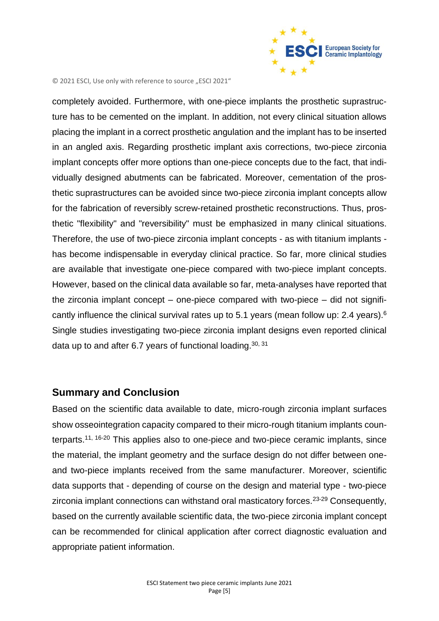

completely avoided. Furthermore, with one-piece implants the prosthetic suprastructure has to be cemented on the implant. In addition, not every clinical situation allows placing the implant in a correct prosthetic angulation and the implant has to be inserted in an angled axis. Regarding prosthetic implant axis corrections, two-piece zirconia implant concepts offer more options than one-piece concepts due to the fact, that individually designed abutments can be fabricated. Moreover, cementation of the prosthetic suprastructures can be avoided since two-piece zirconia implant concepts allow for the fabrication of reversibly screw-retained prosthetic reconstructions. Thus, prosthetic "flexibility" and "reversibility" must be emphasized in many clinical situations. Therefore, the use of two-piece zirconia implant concepts - as with titanium implants has become indispensable in everyday clinical practice. So far, more clinical studies are available that investigate one-piece compared with two-piece implant concepts. However, based on the clinical data available so far, meta-analyses have reported that the zirconia implant concept – one-piece compared with two-piece – did not significantly influence the clinical survival rates up to 5.1 years (mean follow up: 2.4 years).<sup>6</sup> Single studies investigating two-piece zirconia implant designs even reported clinical data up to and after 6.7 years of functional loading.<sup>30, 31</sup>

#### **Summary and Conclusion**

Based on the scientific data available to date, micro-rough zirconia implant surfaces show osseointegration capacity compared to their micro-rough titanium implants counterparts.<sup>11, 16-20</sup> This applies also to one-piece and two-piece ceramic implants, since the material, the implant geometry and the surface design do not differ between oneand two-piece implants received from the same manufacturer. Moreover, scientific data supports that - depending of course on the design and material type - two-piece zirconia implant connections can withstand oral masticatory forces.<sup>23-29</sup> Consequently, based on the currently available scientific data, the two-piece zirconia implant concept can be recommended for clinical application after correct diagnostic evaluation and appropriate patient information.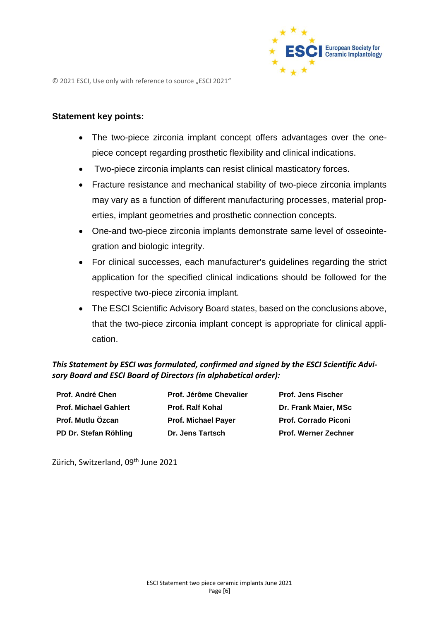

#### **Statement key points:**

- The two-piece zirconia implant concept offers advantages over the onepiece concept regarding prosthetic flexibility and clinical indications.
- Two-piece zirconia implants can resist clinical masticatory forces.
- Fracture resistance and mechanical stability of two-piece zirconia implants may vary as a function of different manufacturing processes, material properties, implant geometries and prosthetic connection concepts.
- One-and two-piece zirconia implants demonstrate same level of osseointegration and biologic integrity.
- For clinical successes, each manufacturer's guidelines regarding the strict application for the specified clinical indications should be followed for the respective two-piece zirconia implant.
- The ESCI Scientific Advisory Board states, based on the conclusions above, that the two-piece zirconia implant concept is appropriate for clinical application.

#### *This Statement by ESCI was formulated, confirmed and signed by the ESCI Scientific Advisory Board and ESCI Board of Directors (in alphabetical order):*

| <b>Prof. André Chen</b><br><b>Prof. Michael Gahlert</b><br>Prof. Mutlu Özcan | Prof. Jérôme Chevalier<br><b>Prof. Ralf Kohal</b><br><b>Prof. Michael Payer</b> | <b>Prof. Jens Fischer</b><br>Dr. Frank Maier, MSc<br><b>Prof. Corrado Piconi</b> |                       |                  |                             |
|------------------------------------------------------------------------------|---------------------------------------------------------------------------------|----------------------------------------------------------------------------------|-----------------------|------------------|-----------------------------|
|                                                                              |                                                                                 |                                                                                  | PD Dr. Stefan Röhling | Dr. Jens Tartsch | <b>Prof. Werner Zechner</b> |

Zürich, Switzerland, 09<sup>th</sup> June 2021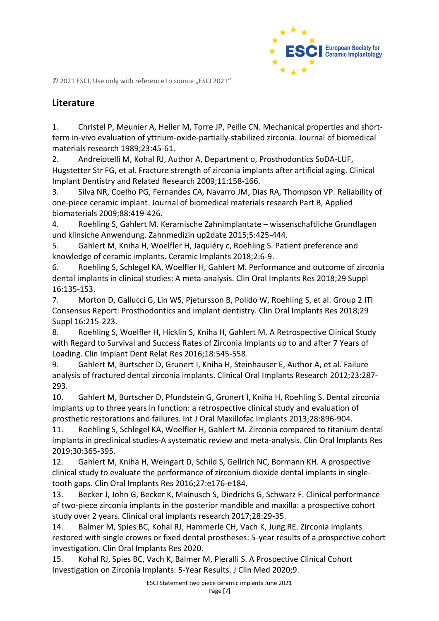

### **Literature**

1. Christel P, Meunier A, Heller M, Torre JP, Peille CN. Mechanical properties and shortterm in-vivo evaluation of yttrium-oxide-partially-stabilized zirconia. Journal of biomedical materials research 1989;23:45-61.

2. Andreiotelli M, Kohal RJ, Author A, Department o, Prosthodontics SoDA-LUF, Hugstetter Str FG, et al. Fracture strength of zirconia implants after artificial aging. Clinical Implant Dentistry and Related Research 2009;11:158-166.

3. Silva NR, Coelho PG, Fernandes CA, Navarro JM, Dias RA, Thompson VP. Reliability of one-piece ceramic implant. Journal of biomedical materials research Part B, Applied biomaterials 2009;88:419-426.

4. Roehling S, Gahlert M. Keramische Zahnimplantate – wissenschaftliche Grundlagen und klinsiche Anwendung. Zahnmedizin up2date 2015;5:425-444.

5. Gahlert M, Kniha H, Woelfler H, Jaquiéry c, Roehling S. Patient preference and knowledge of ceramic implants. Ceramic Implants 2018;2:6-9.

6. Roehling S, Schlegel KA, Woelfler H, Gahlert M. Performance and outcome of zirconia dental implants in clinical studies: A meta-analysis. Clin Oral Implants Res 2018;29 Suppl 16:135-153.

7. Morton D, Gallucci G, Lin WS, Pjetursson B, Polido W, Roehling S, et al. Group 2 ITI Consensus Report: Prosthodontics and implant dentistry. Clin Oral Implants Res 2018;29 Suppl 16:215-223.

8. Roehling S, Woelfler H, Hicklin S, Kniha H, Gahlert M. A Retrospective Clinical Study with Regard to Survival and Success Rates of Zirconia Implants up to and after 7 Years of Loading. Clin Implant Dent Relat Res 2016;18:545-558.

9. Gahlert M, Burtscher D, Grunert I, Kniha H, Steinhauser E, Author A, et al. Failure analysis of fractured dental zirconia implants. Clinical Oral Implants Research 2012;23:287- 293.

10. Gahlert M, Burtscher D, Pfundstein G, Grunert I, Kniha H, Roehling S. Dental zirconia implants up to three years in function: a retrospective clinical study and evaluation of prosthetic restorations and failures. Int J Oral Maxillofac Implants 2013;28:896-904.

11. Roehling S, Schlegel KA, Woelfler H, Gahlert M. Zirconia compared to titanium dental implants in preclinical studies-A systematic review and meta-analysis. Clin Oral Implants Res 2019;30:365-395.

12. Gahlert M, Kniha H, Weingart D, Schild S, Gellrich NC, Bormann KH. A prospective clinical study to evaluate the performance of zirconium dioxide dental implants in singletooth gaps. Clin Oral Implants Res 2016;27:e176-e184.

13. Becker J, John G, Becker K, Mainusch S, Diedrichs G, Schwarz F. Clinical performance of two-piece zirconia implants in the posterior mandible and maxilla: a prospective cohort study over 2 years. Clinical oral implants research 2017;28:29-35.

14. Balmer M, Spies BC, Kohal RJ, Hammerle CH, Vach K, Jung RE. Zirconia implants restored with single crowns or fixed dental prostheses: 5-year results of a prospective cohort investigation. Clin Oral Implants Res 2020.

15. Kohal RJ, Spies BC, Vach K, Balmer M, Pieralli S. A Prospective Clinical Cohort Investigation on Zirconia Implants: 5-Year Results. J Clin Med 2020;9.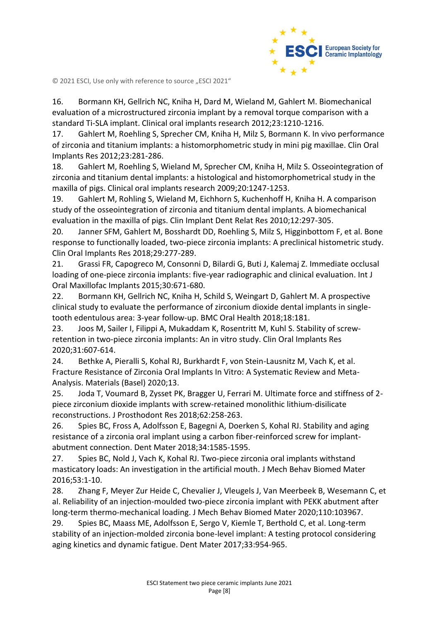

16. Bormann KH, Gellrich NC, Kniha H, Dard M, Wieland M, Gahlert M. Biomechanical evaluation of a microstructured zirconia implant by a removal torque comparison with a standard Ti-SLA implant. Clinical oral implants research 2012;23:1210-1216.

17. Gahlert M, Roehling S, Sprecher CM, Kniha H, Milz S, Bormann K. In vivo performance of zirconia and titanium implants: a histomorphometric study in mini pig maxillae. Clin Oral Implants Res 2012;23:281-286.

18. Gahlert M, Roehling S, Wieland M, Sprecher CM, Kniha H, Milz S. Osseointegration of zirconia and titanium dental implants: a histological and histomorphometrical study in the maxilla of pigs. Clinical oral implants research 2009;20:1247-1253.

19. Gahlert M, Rohling S, Wieland M, Eichhorn S, Kuchenhoff H, Kniha H. A comparison study of the osseointegration of zirconia and titanium dental implants. A biomechanical evaluation in the maxilla of pigs. Clin Implant Dent Relat Res 2010;12:297-305.

20. Janner SFM, Gahlert M, Bosshardt DD, Roehling S, Milz S, Higginbottom F, et al. Bone response to functionally loaded, two-piece zirconia implants: A preclinical histometric study. Clin Oral Implants Res 2018;29:277-289.

21. Grassi FR, Capogreco M, Consonni D, Bilardi G, Buti J, Kalemaj Z. Immediate occlusal loading of one-piece zirconia implants: five-year radiographic and clinical evaluation. Int J Oral Maxillofac Implants 2015;30:671-680.

22. Bormann KH, Gellrich NC, Kniha H, Schild S, Weingart D, Gahlert M. A prospective clinical study to evaluate the performance of zirconium dioxide dental implants in singletooth edentulous area: 3-year follow-up. BMC Oral Health 2018;18:181.

23. Joos M, Sailer I, Filippi A, Mukaddam K, Rosentritt M, Kuhl S. Stability of screwretention in two-piece zirconia implants: An in vitro study. Clin Oral Implants Res 2020;31:607-614.

24. Bethke A, Pieralli S, Kohal RJ, Burkhardt F, von Stein-Lausnitz M, Vach K, et al. Fracture Resistance of Zirconia Oral Implants In Vitro: A Systematic Review and Meta-Analysis. Materials (Basel) 2020;13.

25. Joda T, Voumard B, Zysset PK, Bragger U, Ferrari M. Ultimate force and stiffness of 2 piece zirconium dioxide implants with screw-retained monolithic lithium-disilicate reconstructions. J Prosthodont Res 2018;62:258-263.

26. Spies BC, Fross A, Adolfsson E, Bagegni A, Doerken S, Kohal RJ. Stability and aging resistance of a zirconia oral implant using a carbon fiber-reinforced screw for implantabutment connection. Dent Mater 2018;34:1585-1595.

27. Spies BC, Nold J, Vach K, Kohal RJ. Two-piece zirconia oral implants withstand masticatory loads: An investigation in the artificial mouth. J Mech Behav Biomed Mater 2016;53:1-10.

28. Zhang F, Meyer Zur Heide C, Chevalier J, Vleugels J, Van Meerbeek B, Wesemann C, et al. Reliability of an injection-moulded two-piece zirconia implant with PEKK abutment after long-term thermo-mechanical loading. J Mech Behav Biomed Mater 2020;110:103967.

29. Spies BC, Maass ME, Adolfsson E, Sergo V, Kiemle T, Berthold C, et al. Long-term stability of an injection-molded zirconia bone-level implant: A testing protocol considering aging kinetics and dynamic fatigue. Dent Mater 2017;33:954-965.